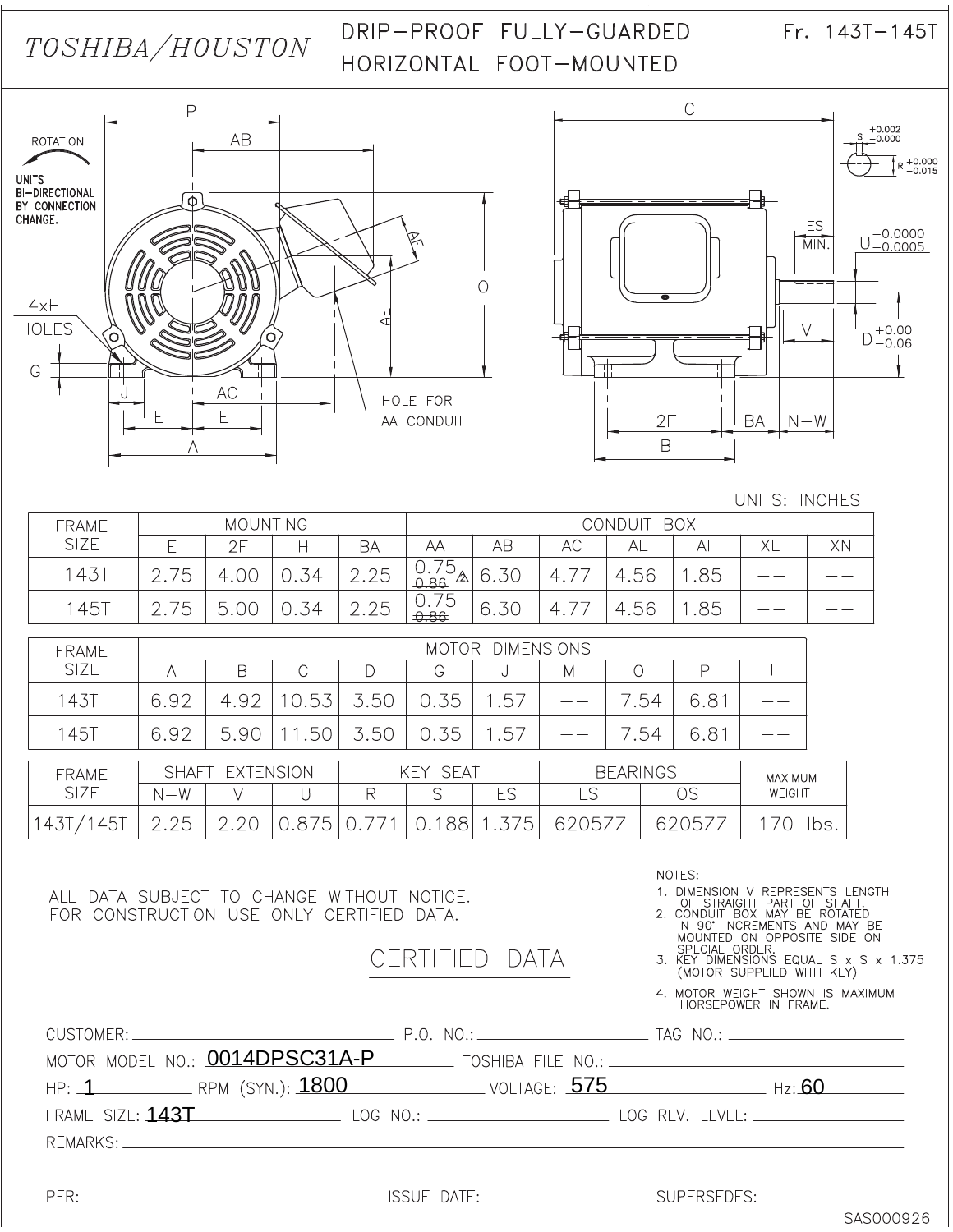# TOSHIBA/HOUSTON

## DRIP-PROOF FULLY-GUARDED HORIZONTAL FOOT-MOUNTED

 $Fr. 143T - 145T$ 





#### UNITS: INCHES

| <b>MOUNTING</b><br><b>FRAME</b> |                          |      |    | CONDUIT BOX    |                                     |      |                                  |                        |     |    |    |
|---------------------------------|--------------------------|------|----|----------------|-------------------------------------|------|----------------------------------|------------------------|-----|----|----|
| <b>SIZE</b>                     |                          | クロ   | ⊢  | BA             | ΑА                                  | AB   | AC                               | АE                     | АF  | XL | XN |
| 143                             | $\overline{a}$<br>$\sim$ | 4.00 | 34 | 2.25<br>$\cap$ | フら<br>$\frac{10.75}{20}$ 0.<br>0.86 | 6.30 | $\overline{\phantom{a}}$<br>4. . | .56                    | .85 |    |    |
| $145$ <sup>-</sup>              | フらー<br>$\sim$            | 一    | 34 | 2.25<br>$\cap$ | 0.75<br>0.86                        | 6.30 | $\overline{4}$                   | r.56<br>$\overline{4}$ | 85  |    |    |

| <b>FRAME</b>  | <b>DIMENSIONS</b><br><b>MOTOR</b> |                 |                |                  |                 |             |             |                 |               |         |
|---------------|-----------------------------------|-----------------|----------------|------------------|-----------------|-------------|-------------|-----------------|---------------|---------|
| <b>SIZE</b>   | Α                                 | B               |                |                  | G               | ◡           | М           |                 |               |         |
| <b>143T</b>   | 6.92                              | 4.92            | 0.53           | 3.50             | 0.35            | 1.57        |             | .54             | 6.8'          |         |
| <b>145T</b>   | 6.92                              | 5.90            | .50            | 3.50             | 0.35            | 1.57        |             | .54             | $6.8^{\circ}$ |         |
| <b>FRAME</b>  |                                   | SHAFT EXTENSION |                |                  | <b>KEY SEAT</b> |             |             | <b>BEARINGS</b> |               | MAXIMUM |
| <b>SIZE</b>   | $N - W$                           |                 |                | R                | S               | ES          | LS          |                 | OS            | WEIGHT  |
| 45<br>$143_1$ | 2.25                              |                 | 0.87<br>$.5$ ' | $0.\overline{7}$ | 88              | $5^{\circ}$ | 62<br>205ZZ |                 | J5Z           | bs      |

ALL DATA SUBJECT TO CHANGE WITHOUT NOTICE. FOR CONSTRUCTION USE ONLY CERTIFIED DATA.

> CERTIFIED **DATA**

NOTES:

1. DIMENSION V REPRESENTS LENGTH<br>
OF STRAIGHT PART OF SHAFT.<br>
2. CONDUIT BOX MAY BE ROTATED<br>
IN 90' INCREMENTS AND MAY BE<br>
MOUNTED ON OPPOSITE SIDE ON<br>
SPECIAL OPN P

SPECIAL ORDER.<br>3. KEY DIMENSIONS EQUAL S x S x 1.375<br>(MOTOR SUPPLIED WITH KEY)

4. MOTOR WEIGHT SHOWN IS MAXIMUM<br>HORSEPOWER IN FRAME.

| MOTOR MODEL NO.: 0014DPSC31A-P TOSHIBA FILE NO.: _______________________________ |  |  |
|----------------------------------------------------------------------------------|--|--|
| HP: 1 RPM (SYN.): 1800 VOLTAGE: 575 Hz: 60                                       |  |  |
| FRAME SIZE: 143T LOG NO.: LOG NO.: LOG REV. LEVEL: _____________________________ |  |  |
|                                                                                  |  |  |
|                                                                                  |  |  |
|                                                                                  |  |  |

SAS000926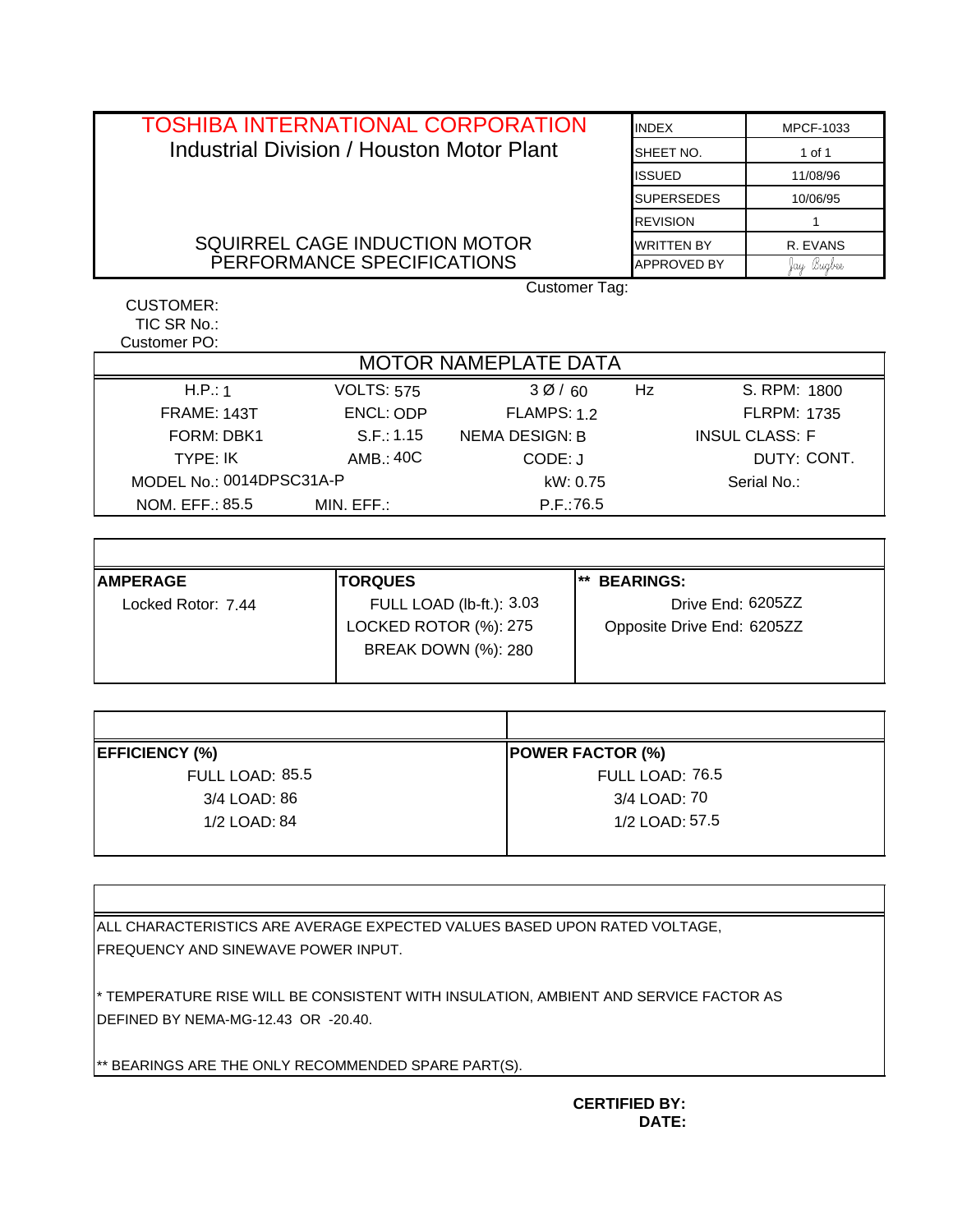| <b>TOSHIBA INTERNATIONAL CORPORATION</b>         | <b>INDFX</b>       | MPCF-1033  |  |  |  |  |
|--------------------------------------------------|--------------------|------------|--|--|--|--|
| <b>Industrial Division / Houston Motor Plant</b> | SHEET NO.          | 1 of 1     |  |  |  |  |
|                                                  | <b>ISSUED</b>      | 11/08/96   |  |  |  |  |
|                                                  | <b>SUPERSEDES</b>  | 10/06/95   |  |  |  |  |
|                                                  | <b>REVISION</b>    |            |  |  |  |  |
| SQUIRREL CAGE INDUCTION MOTOR                    | <b>WRITTEN BY</b>  | R. EVANS   |  |  |  |  |
| PERFORMANCE SPECIFICATIONS                       | <b>APPROVED BY</b> | fay Bugbee |  |  |  |  |
| Customer Tag:                                    |                    |            |  |  |  |  |
| CUSTOMER:                                        |                    |            |  |  |  |  |

| Customer PO:                |                       |                            |                   |                            |  |  |
|-----------------------------|-----------------------|----------------------------|-------------------|----------------------------|--|--|
| <b>MOTOR NAMEPLATE DATA</b> |                       |                            |                   |                            |  |  |
| H.P.: 1                     | <b>VOLTS: 575</b>     | 30/60                      | Hz                | S. RPM: 1800               |  |  |
| <b>FRAME: 143T</b>          | ENCL: ODP             | FLAMPS: 1.2                |                   | <b>FLRPM: 1735</b>         |  |  |
| FORM: DBK1                  | S.F.: 1.15            | <b>NEMA DESIGN: B</b>      |                   | <b>INSUL CLASS: F</b>      |  |  |
| TYPE: IK                    | AMB.:40C              | CODE: J                    |                   | DUTY: CONT.                |  |  |
| MODEL No.: 0014DPSC31A-P    | kW: 0.75              |                            | Serial No.:       |                            |  |  |
| NOM. EFF.: 85.5             | MIN. EFF.:            | P.F.:76.5                  |                   |                            |  |  |
|                             |                       |                            |                   |                            |  |  |
|                             |                       |                            |                   |                            |  |  |
| <b>AMPERAGE</b>             | <b>TORQUES</b>        |                            | ** BEARINGS:      |                            |  |  |
| Locked Rotor: 7.44          |                       | FULL LOAD (lb-ft.): 3.03   | Drive End: 6205ZZ |                            |  |  |
|                             | LOCKED ROTOR (%): 275 |                            |                   | Opposite Drive End: 6205ZZ |  |  |
|                             |                       | <b>BREAK DOWN (%): 280</b> |                   |                            |  |  |

| H.P.: 1                  | <b>VOLTS: 575</b>     | 30/60                      | Hz                        | S. RPM: 1800               |  |  |
|--------------------------|-----------------------|----------------------------|---------------------------|----------------------------|--|--|
| FRAME: 143T              | ENCL: ODP             | <b>FLAMPS: 1.2</b>         |                           | <b>FLRPM: 1735</b>         |  |  |
| FORM: DBK1               | S.F.: 1.15            | <b>NEMA DESIGN: B</b>      |                           | <b>INSUL CLASS: F</b>      |  |  |
| TYPE: IK                 | AMB.: 40C             | CODE: J                    |                           | DUTY: CONT.                |  |  |
| MODEL No.: 0014DPSC31A-P |                       |                            | kW: 0.75                  | Serial No.:                |  |  |
| NOM. EFF.: 85.5          | MIN. EFF.:            |                            | P.F.:76.5                 |                            |  |  |
|                          |                       |                            |                           |                            |  |  |
|                          |                       |                            |                           |                            |  |  |
| <b>AMPERAGE</b>          | <b>TORQUES</b>        |                            | $***$<br><b>BEARINGS:</b> |                            |  |  |
| Locked Rotor: 7.44       |                       | FULL LOAD (lb-ft.): 3.03   | Drive End: 6205ZZ         |                            |  |  |
|                          | LOCKED ROTOR (%): 275 |                            |                           | Opposite Drive End: 6205ZZ |  |  |
|                          |                       | <b>BREAK DOWN (%): 280</b> |                           |                            |  |  |
|                          |                       |                            |                           |                            |  |  |
|                          |                       |                            |                           |                            |  |  |
|                          |                       |                            |                           |                            |  |  |
| <b>EFFICIENCY (%)</b>    |                       |                            | <b>POWER FACTOR (%)</b>   |                            |  |  |
| FULL LOAD: 85.5          |                       |                            | FULL LOAD: 76.5           |                            |  |  |
| 3/4 LOAD: 86             |                       |                            | 3/4 LOAD: 70              |                            |  |  |
| 1/2 LOAD: 84             |                       |                            | 1/2 LOAD: 57.5            |                            |  |  |

| <b>EFFICIENCY (%)</b> | <b>POWER FACTOR (%)</b> |
|-----------------------|-------------------------|
| FULL LOAD: 85.5       | FULL LOAD: 76.5         |
| 3/4 LOAD: 86          | 3/4 LOAD: 70            |
| 1/2 LOAD: 84          | 1/2 LOAD: 57.5          |
|                       |                         |

ALL CHARACTERISTICS ARE AVERAGE EXPECTED VALUES BASED UPON RATED VOLTAGE, FREQUENCY AND SINEWAVE POWER INPUT.

\* TEMPERATURE RISE WILL BE CONSISTENT WITH INSULATION, AMBIENT AND SERVICE FACTOR AS DEFINED BY NEMA-MG-12.43 OR -20.40.

\*\* BEARINGS ARE THE ONLY RECOMMENDED SPARE PART(S).

TIC SR No.:

Г